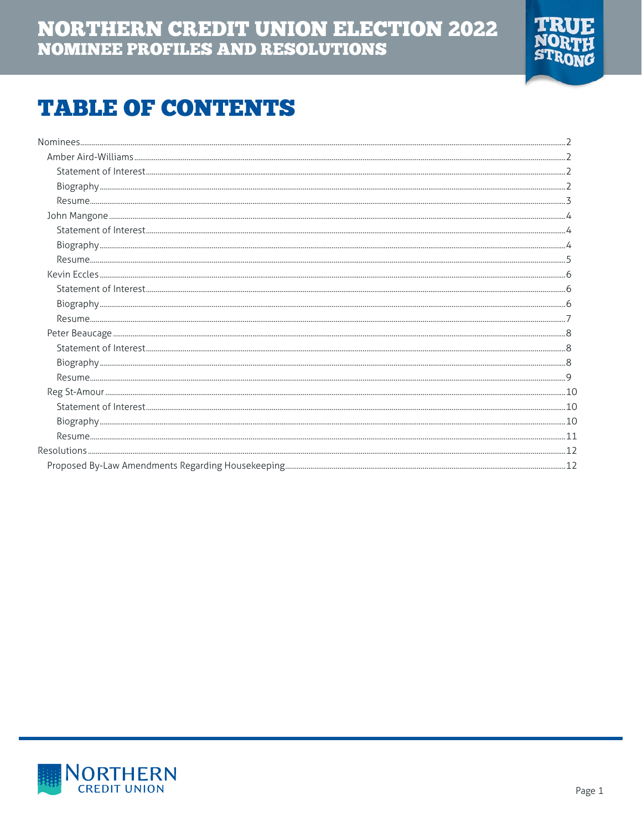

# **TABLE OF CONTENTS**

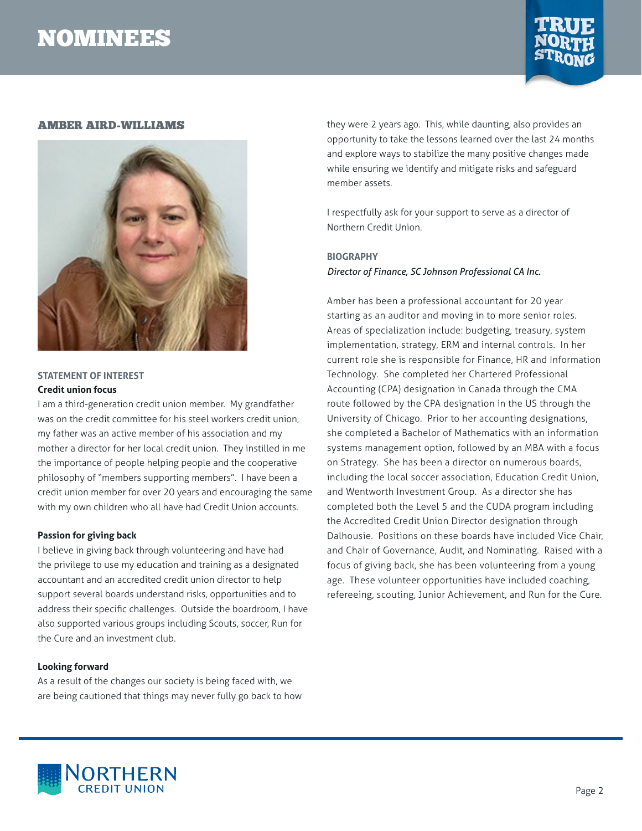

#### <span id="page-1-0"></span>AMBER AIRD-WILLIAMS



### **STATEMENT OF INTEREST Credit union focus**

I am a third-generation credit union member. My grandfather was on the credit committee for his steel workers credit union, my father was an active member of his association and my mother a director for her local credit union. They instilled in me the importance of people helping people and the cooperative philosophy of "members supporting members". I have been a credit union member for over 20 years and encouraging the same with my own children who all have had Credit Union accounts.

#### **Passion for giving back**

I believe in giving back through volunteering and have had the privilege to use my education and training as a designated accountant and an accredited credit union director to help support several boards understand risks, opportunities and to address their specific challenges. Outside the boardroom, I have also supported various groups including Scouts, soccer, Run for the Cure and an investment club.

#### **Looking forward**

As a result of the changes our society is being faced with, we are being cautioned that things may never fully go back to how they were 2 years ago. This, while daunting, also provides an opportunity to take the lessons learned over the last 24 months and explore ways to stabilize the many positive changes made while ensuring we identify and mitigate risks and safeguard member assets.

I respectfully ask for your support to serve as a director of Northern Credit Union.

# **BIOGRAPHY** *Director of Finance, SC Johnson Professional CA Inc.*

Amber has been a professional accountant for 20 year starting as an auditor and moving in to more senior roles. Areas of specialization include: budgeting, treasury, system implementation, strategy, ERM and internal controls. In her current role she is responsible for Finance, HR and Information Technology. She completed her Chartered Professional Accounting (CPA) designation in Canada through the CMA route followed by the CPA designation in the US through the University of Chicago. Prior to her accounting designations, she completed a Bachelor of Mathematics with an information systems management option, followed by an MBA with a focus on Strategy. She has been a director on numerous boards, including the local soccer association, Education Credit Union, and Wentworth Investment Group. As a director she has completed both the Level 5 and the CUDA program including the Accredited Credit Union Director designation through Dalhousie. Positions on these boards have included Vice Chair, and Chair of Governance, Audit, and Nominating. Raised with a focus of giving back, she has been volunteering from a young age. These volunteer opportunities have included coaching, refereeing, scouting, Junior Achievement, and Run for the Cure.

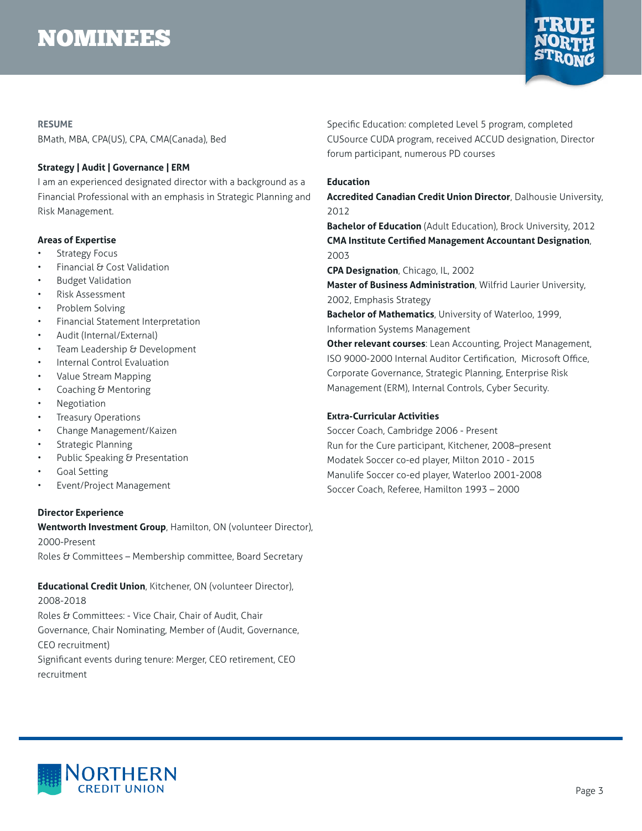

#### <span id="page-2-0"></span>**RESUME**

BMath, MBA, CPA(US), CPA, CMA(Canada), Bed

### **Strategy | Audit | Governance | ERM**

I am an experienced designated director with a background as a Financial Professional with an emphasis in Strategic Planning and Risk Management.

#### **Areas of Expertise**

- Strategy Focus
- Financial & Cost Validation
- Budget Validation
- Risk Assessment
- Problem Solving
- Financial Statement Interpretation
- Audit (Internal/External)
- Team Leadership & Development
- Internal Control Evaluation
- Value Stream Mapping
- Coaching & Mentoring
- Negotiation
- Treasury Operations
- Change Management/Kaizen
- Strategic Planning
- Public Speaking & Presentation
- Goal Setting
- Event/Project Management

### **Director Experience**

**Wentworth Investment Group**, Hamilton, ON (volunteer Director), 2000-Present

Roles & Committees - Membership committee, Board Secretary

# **Educational Credit Union**, Kitchener, ON (volunteer Director), 2008-2018 Roles & Committees: - Vice Chair, Chair of Audit, Chair Governance, Chair Nominating, Member of (Audit, Governance, CEO recruitment)

Significant events during tenure: Merger, CEO retirement, CEO recruitment

Specific Education: completed Level 5 program, completed CUSource CUDA program, received ACCUD designation, Director forum participant, numerous PD courses

### **Education**

**Accredited Canadian Credit Union Director**, Dalhousie University, 2012

**Bachelor of Education** (Adult Education), Brock University, 2012 **CMA Institute Certified Management Accountant Designation**, 2003

**CPA Designation**, Chicago, IL, 2002

**Master of Business Administration**, Wilfrid Laurier University, 2002, Emphasis Strategy

**Bachelor of Mathematics**, University of Waterloo, 1999, Information Systems Management

**Other relevant courses**: Lean Accounting, Project Management, ISO 9000-2000 Internal Auditor Certification, Microsoft Office, Corporate Governance, Strategic Planning, Enterprise Risk Management (ERM), Internal Controls, Cyber Security.

### **Extra-Curricular Activities**

Soccer Coach, Cambridge 2006 - Present Run for the Cure participant, Kitchener, 2008–present Modatek Soccer co-ed player, Milton 2010 - 2015 Manulife Soccer co-ed player, Waterloo 2001-2008 Soccer Coach, Referee, Hamilton 1993 – 2000

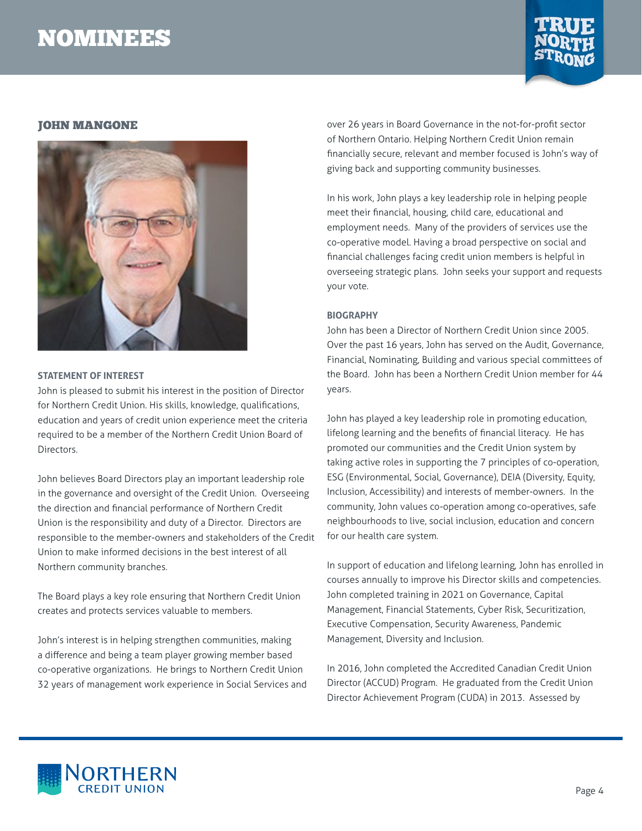

### <span id="page-3-0"></span>JOHN MANGONE



#### **STATEMENT OF INTEREST**

John is pleased to submit his interest in the position of Director for Northern Credit Union. His skills, knowledge, qualifications, education and years of credit union experience meet the criteria required to be a member of the Northern Credit Union Board of Directors.

John believes Board Directors play an important leadership role in the governance and oversight of the Credit Union. Overseeing the direction and financial performance of Northern Credit Union is the responsibility and duty of a Director. Directors are responsible to the member-owners and stakeholders of the Credit Union to make informed decisions in the best interest of all Northern community branches.

The Board plays a key role ensuring that Northern Credit Union creates and protects services valuable to members.

John's interest is in helping strengthen communities, making a difference and being a team player growing member based co-operative organizations. He brings to Northern Credit Union 32 years of management work experience in Social Services and over 26 years in Board Governance in the not-for-profit sector of Northern Ontario. Helping Northern Credit Union remain financially secure, relevant and member focused is John's way of giving back and supporting community businesses.

In his work, John plays a key leadership role in helping people meet their financial, housing, child care, educational and employment needs. Many of the providers of services use the co-operative model. Having a broad perspective on social and financial challenges facing credit union members is helpful in overseeing strategic plans. John seeks your support and requests your vote.

#### **BIOGRAPHY**

John has been a Director of Northern Credit Union since 2005. Over the past 16 years, John has served on the Audit, Governance, Financial, Nominating, Building and various special committees of the Board. John has been a Northern Credit Union member for 44 years.

John has played a key leadership role in promoting education, lifelong learning and the benefits of financial literacy. He has promoted our communities and the Credit Union system by taking active roles in supporting the 7 principles of co-operation, ESG (Environmental, Social, Governance), DEIA (Diversity, Equity, Inclusion, Accessibility) and interests of member-owners. In the community, John values co-operation among co-operatives, safe neighbourhoods to live, social inclusion, education and concern for our health care system.

In support of education and lifelong learning, John has enrolled in courses annually to improve his Director skills and competencies. John completed training in 2021 on Governance, Capital Management, Financial Statements, Cyber Risk, Securitization, Executive Compensation, Security Awareness, Pandemic Management, Diversity and Inclusion.

In 2016, John completed the Accredited Canadian Credit Union Director (ACCUD) Program. He graduated from the Credit Union Director Achievement Program (CUDA) in 2013. Assessed by

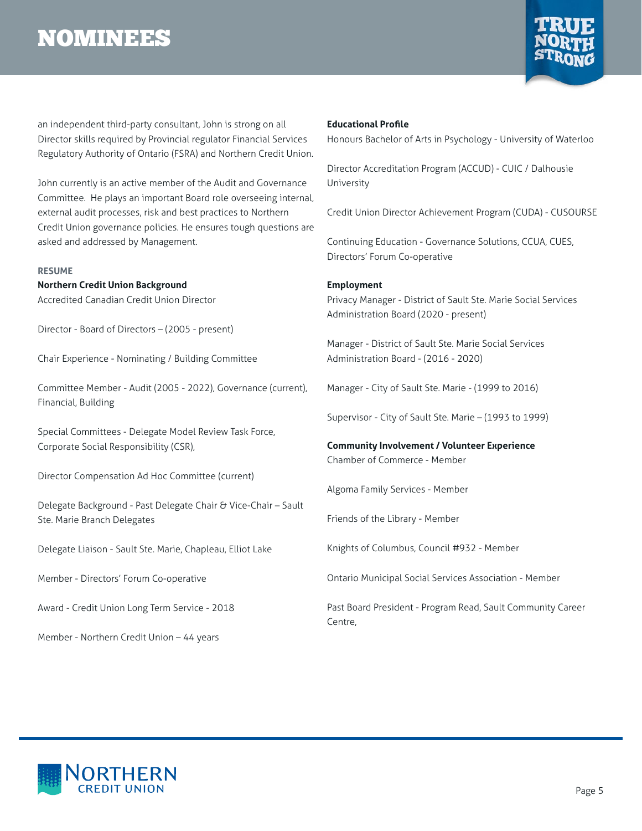

<span id="page-4-0"></span>an independent third-party consultant, John is strong on all Director skills required by Provincial regulator Financial Services Regulatory Authority of Ontario (FSRA) and Northern Credit Union.

John currently is an active member of the Audit and Governance Committee. He plays an important Board role overseeing internal, external audit processes, risk and best practices to Northern Credit Union governance policies. He ensures tough questions are asked and addressed by Management.

#### **RESUME**

**Northern Credit Union Background** Accredited Canadian Credit Union Director

Director - Board of Directors – (2005 - present)

Chair Experience - Nominating / Building Committee

Committee Member - Audit (2005 - 2022), Governance (current), Financial, Building

Special Committees - Delegate Model Review Task Force, Corporate Social Responsibility (CSR),

Director Compensation Ad Hoc Committee (current)

Delegate Background - Past Delegate Chair & Vice-Chair - Sault Ste. Marie Branch Delegates

Delegate Liaison - Sault Ste. Marie, Chapleau, Elliot Lake

Member - Directors' Forum Co-operative

Award - Credit Union Long Term Service - 2018

Member - Northern Credit Union – 44 years

#### **Educational Profile**

Honours Bachelor of Arts in Psychology - University of Waterloo

Director Accreditation Program (ACCUD) - CUIC / Dalhousie University

Credit Union Director Achievement Program (CUDA) - CUSOURSE

Continuing Education - Governance Solutions, CCUA, CUES, Directors' Forum Co-operative

#### **Employment**

Privacy Manager - District of Sault Ste. Marie Social Services Administration Board (2020 - present)

Manager - District of Sault Ste. Marie Social Services Administration Board - (2016 - 2020)

Manager - City of Sault Ste. Marie - (1999 to 2016)

Supervisor - City of Sault Ste. Marie – (1993 to 1999)

**Community Involvement / Volunteer Experience** Chamber of Commerce - Member

Algoma Family Services - Member

Friends of the Library - Member

Knights of Columbus, Council #932 - Member

Ontario Municipal Social Services Association - Member

Past Board President - Program Read, Sault Community Career Centre,

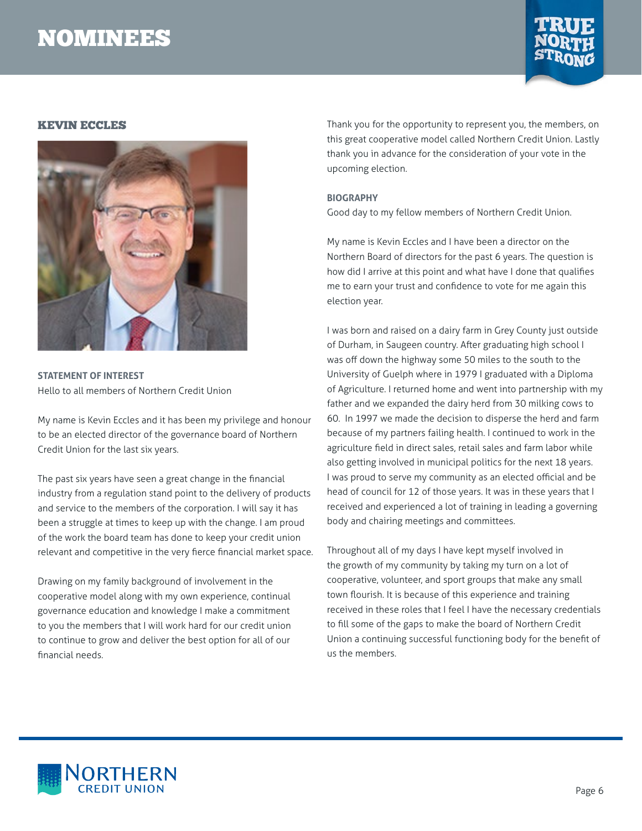

### <span id="page-5-0"></span>KEVIN ECCLES



**STATEMENT OF INTEREST** Hello to all members of Northern Credit Union

My name is Kevin Eccles and it has been my privilege and honour to be an elected director of the governance board of Northern Credit Union for the last six years.

The past six years have seen a great change in the financial industry from a regulation stand point to the delivery of products and service to the members of the corporation. I will say it has been a struggle at times to keep up with the change. I am proud of the work the board team has done to keep your credit union relevant and competitive in the very fierce financial market space.

Drawing on my family background of involvement in the cooperative model along with my own experience, continual governance education and knowledge I make a commitment to you the members that I will work hard for our credit union to continue to grow and deliver the best option for all of our financial needs.

Thank you for the opportunity to represent you, the members, on this great cooperative model called Northern Credit Union. Lastly thank you in advance for the consideration of your vote in the upcoming election.

#### **BIOGRAPHY**

Good day to my fellow members of Northern Credit Union.

My name is Kevin Eccles and I have been a director on the Northern Board of directors for the past 6 years. The question is how did I arrive at this point and what have I done that qualifies me to earn your trust and confidence to vote for me again this election year.

I was born and raised on a dairy farm in Grey County just outside of Durham, in Saugeen country. After graduating high school I was off down the highway some 50 miles to the south to the University of Guelph where in 1979 I graduated with a Diploma of Agriculture. I returned home and went into partnership with my father and we expanded the dairy herd from 30 milking cows to 60. In 1997 we made the decision to disperse the herd and farm because of my partners failing health. I continued to work in the agriculture field in direct sales, retail sales and farm labor while also getting involved in municipal politics for the next 18 years. I was proud to serve my community as an elected official and be head of council for 12 of those years. It was in these years that I received and experienced a lot of training in leading a governing body and chairing meetings and committees.

Throughout all of my days I have kept myself involved in the growth of my community by taking my turn on a lot of cooperative, volunteer, and sport groups that make any small town flourish. It is because of this experience and training received in these roles that I feel I have the necessary credentials to fill some of the gaps to make the board of Northern Credit Union a continuing successful functioning body for the benefit of us the members.

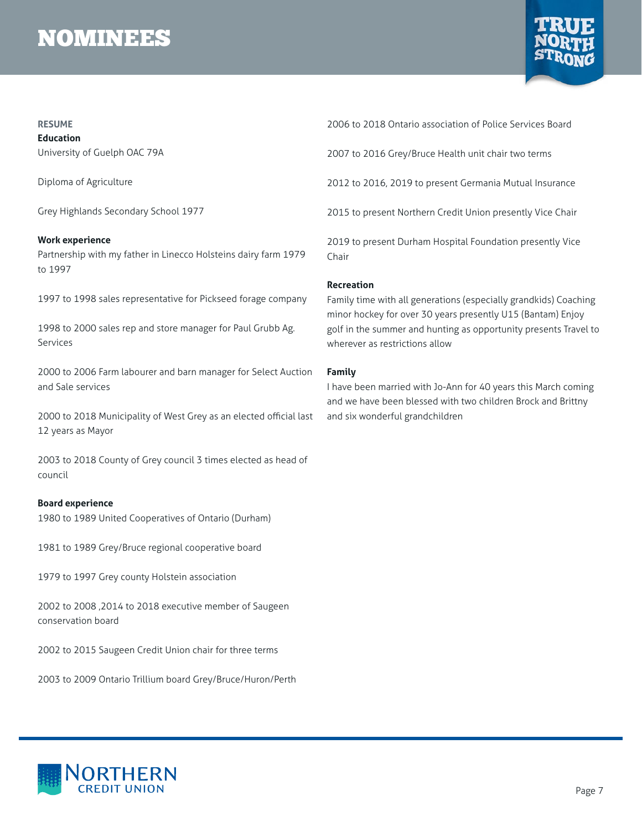

#### <span id="page-6-0"></span>**RESUME**

**Education** University of Guelph OAC 79A

Diploma of Agriculture

Grey Highlands Secondary School 1977

#### **Work experience**

Partnership with my father in Linecco Holsteins dairy farm 1979 to 1997

1997 to 1998 sales representative for Pickseed forage company

1998 to 2000 sales rep and store manager for Paul Grubb Ag. Services

2000 to 2006 Farm labourer and barn manager for Select Auction and Sale services

2000 to 2018 Municipality of West Grey as an elected official last 12 years as Mayor

2003 to 2018 County of Grey council 3 times elected as head of council

#### **Board experience**

1980 to 1989 United Cooperatives of Ontario (Durham)

1981 to 1989 Grey/Bruce regional cooperative board

1979 to 1997 Grey county Holstein association

2002 to 2008 ,2014 to 2018 executive member of Saugeen conservation board

2002 to 2015 Saugeen Credit Union chair for three terms

2003 to 2009 Ontario Trillium board Grey/Bruce/Huron/Perth

2006 to 2018 Ontario association of Police Services Board

2007 to 2016 Grey/Bruce Health unit chair two terms

2012 to 2016, 2019 to present Germania Mutual Insurance

2015 to present Northern Credit Union presently Vice Chair

2019 to present Durham Hospital Foundation presently Vice Chair

#### **Recreation**

Family time with all generations (especially grandkids) Coaching minor hockey for over 30 years presently U15 (Bantam) Enjoy golf in the summer and hunting as opportunity presents Travel to wherever as restrictions allow

#### **Family**

I have been married with Jo-Ann for 40 years this March coming and we have been blessed with two children Brock and Brittny and six wonderful grandchildren

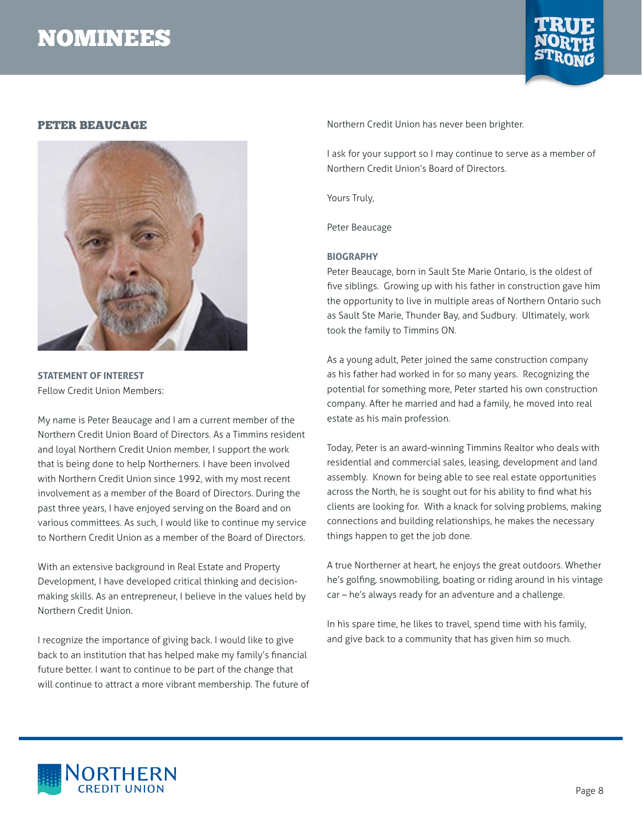

### <span id="page-7-0"></span>PETER BEAUCAGE



**STATEMENT OF INTEREST** Fellow Credit Union Members:

My name is Peter Beaucage and I am a current member of the Northern Credit Union Board of Directors. As a Timmins resident and loyal Northern Credit Union member, I support the work that is being done to help Northerners. I have been involved with Northern Credit Union since 1992, with my most recent involvement as a member of the Board of Directors. During the past three years, I have enjoyed serving on the Board and on various committees. As such, I would like to continue my service to Northern Credit Union as a member of the Board of Directors.

With an extensive background in Real Estate and Property Development, I have developed critical thinking and decisionmaking skills. As an entrepreneur, I believe in the values held by Northern Credit Union.

I recognize the importance of giving back. I would like to give back to an institution that has helped make my family's financial future better. I want to continue to be part of the change that will continue to attract a more vibrant membership. The future of Northern Credit Union has never been brighter.

I ask for your support so I may continue to serve as a member of Northern Credit Union's Board of Directors.

Yours Truly,

Peter Beaucage

#### **BIOGRAPHY**

Peter Beaucage, born in Sault Ste Marie Ontario, is the oldest of five siblings. Growing up with his father in construction gave him the opportunity to live in multiple areas of Northern Ontario such as Sault Ste Marie, Thunder Bay, and Sudbury. Ultimately, work took the family to Timmins ON.

As a young adult, Peter joined the same construction company as his father had worked in for so many years. Recognizing the potential for something more, Peter started his own construction company. After he married and had a family, he moved into real estate as his main profession.

Today, Peter is an award-winning Timmins Realtor who deals with residential and commercial sales, leasing, development and land assembly. Known for being able to see real estate opportunities across the North, he is sought out for his ability to find what his clients are looking for. With a knack for solving problems, making connections and building relationships, he makes the necessary things happen to get the job done.

A true Northerner at heart, he enjoys the great outdoors. Whether he's golfing, snowmobiling, boating or riding around in his vintage car – he's always ready for an adventure and a challenge.

In his spare time, he likes to travel, spend time with his family, and give back to a community that has given him so much.

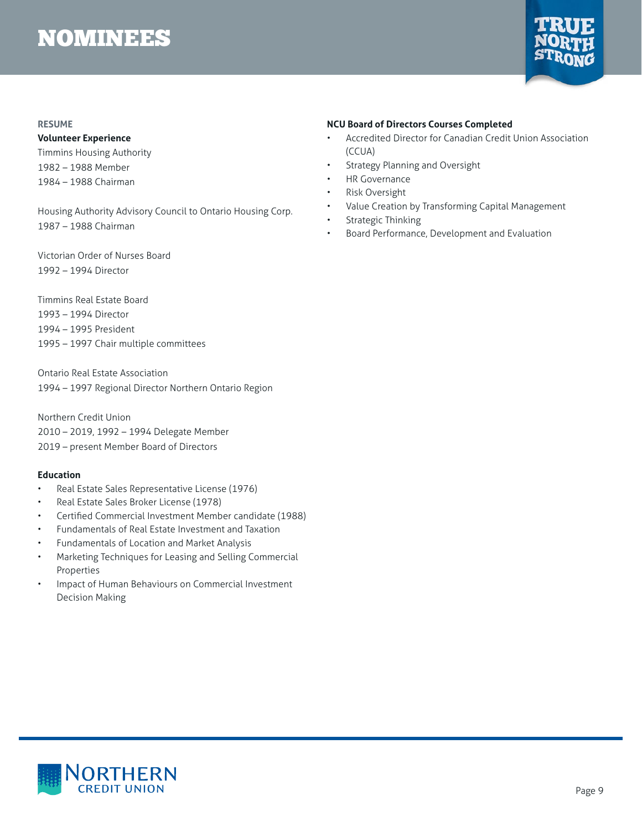

#### <span id="page-8-0"></span>**RESUME**

#### **Volunteer Experience**

Timmins Housing Authority 1982 – 1988 Member 1984 – 1988 Chairman

Housing Authority Advisory Council to Ontario Housing Corp. 1987 – 1988 Chairman

Victorian Order of Nurses Board 1992 – 1994 Director

Timmins Real Estate Board 1993 – 1994 Director 1994 – 1995 President 1995 – 1997 Chair multiple committees

Ontario Real Estate Association 1994 – 1997 Regional Director Northern Ontario Region

Northern Credit Union 2010 – 2019, 1992 – 1994 Delegate Member 2019 – present Member Board of Directors

#### **Education**

- Real Estate Sales Representative License (1976)
- Real Estate Sales Broker License (1978)
- Certified Commercial Investment Member candidate (1988)
- Fundamentals of Real Estate Investment and Taxation
- Fundamentals of Location and Market Analysis
- Marketing Techniques for Leasing and Selling Commercial Properties
- Impact of Human Behaviours on Commercial Investment Decision Making

#### **NCU Board of Directors Courses Completed**

- Accredited Director for Canadian Credit Union Association (CCUA)
- Strategy Planning and Oversight
- **HR Governance**
- **Risk Oversight**
- Value Creation by Transforming Capital Management
- Strategic Thinking
- Board Performance, Development and Evaluation

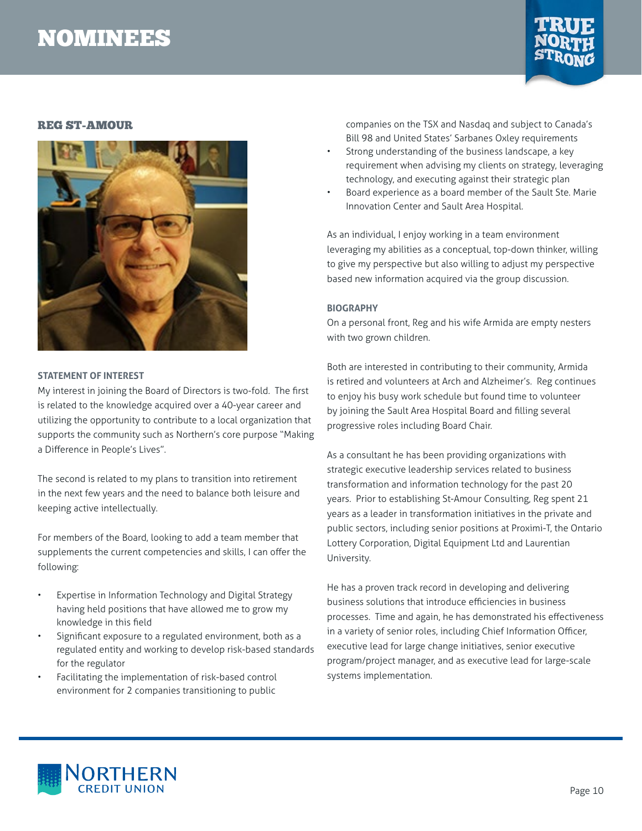

### <span id="page-9-0"></span>REG ST-AMOUR



#### **STATEMENT OF INTEREST**

My interest in joining the Board of Directors is two-fold. The first is related to the knowledge acquired over a 40-year career and utilizing the opportunity to contribute to a local organization that supports the community such as Northern's core purpose "Making a Difference in People's Lives".

The second is related to my plans to transition into retirement in the next few years and the need to balance both leisure and keeping active intellectually.

For members of the Board, looking to add a team member that supplements the current competencies and skills, I can offer the following:

- Expertise in Information Technology and Digital Strategy having held positions that have allowed me to grow my knowledge in this field
- Significant exposure to a regulated environment, both as a regulated entity and working to develop risk-based standards for the regulator
- Facilitating the implementation of risk-based control environment for 2 companies transitioning to public

companies on the TSX and Nasdaq and subject to Canada's Bill 98 and United States' Sarbanes Oxley requirements

- Strong understanding of the business landscape, a key requirement when advising my clients on strategy, leveraging technology, and executing against their strategic plan
- Board experience as a board member of the Sault Ste. Marie Innovation Center and Sault Area Hospital.

As an individual, I enjoy working in a team environment leveraging my abilities as a conceptual, top-down thinker, willing to give my perspective but also willing to adjust my perspective based new information acquired via the group discussion.

#### **BIOGRAPHY**

On a personal front, Reg and his wife Armida are empty nesters with two grown children.

Both are interested in contributing to their community, Armida is retired and volunteers at Arch and Alzheimer's. Reg continues to enjoy his busy work schedule but found time to volunteer by joining the Sault Area Hospital Board and filling several progressive roles including Board Chair.

As a consultant he has been providing organizations with strategic executive leadership services related to business transformation and information technology for the past 20 years. Prior to establishing St-Amour Consulting, Reg spent 21 years as a leader in transformation initiatives in the private and public sectors, including senior positions at Proximi-T, the Ontario Lottery Corporation, Digital Equipment Ltd and Laurentian University.

He has a proven track record in developing and delivering business solutions that introduce efficiencies in business processes. Time and again, he has demonstrated his effectiveness in a variety of senior roles, including Chief Information Officer, executive lead for large change initiatives, senior executive program/project manager, and as executive lead for large-scale systems implementation.

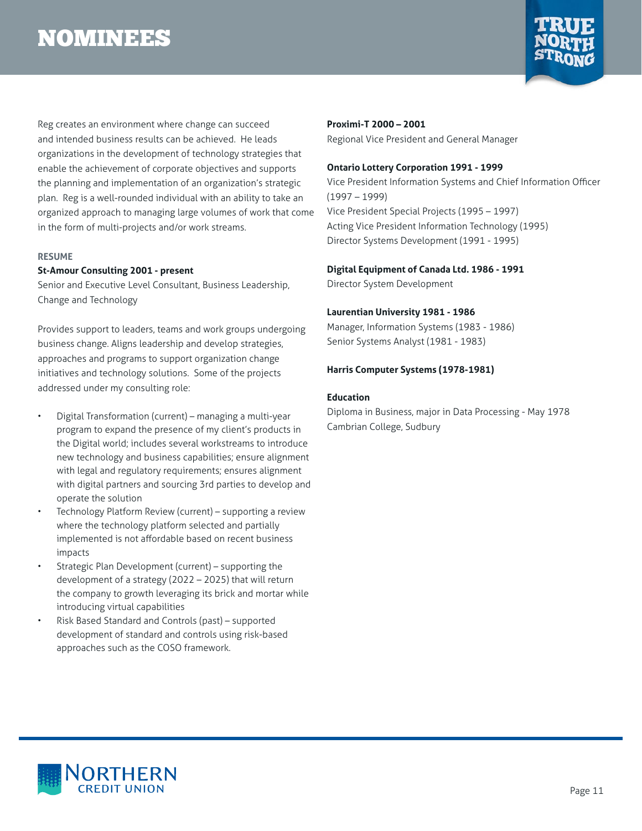

<span id="page-10-0"></span>Reg creates an environment where change can succeed and intended business results can be achieved. He leads organizations in the development of technology strategies that enable the achievement of corporate objectives and supports the planning and implementation of an organization's strategic plan. Reg is a well-rounded individual with an ability to take an organized approach to managing large volumes of work that come in the form of multi-projects and/or work streams.

#### **RESUME**

#### **St-Amour Consulting 2001 - present**

Senior and Executive Level Consultant, Business Leadership, Change and Technology

Provides support to leaders, teams and work groups undergoing business change. Aligns leadership and develop strategies, approaches and programs to support organization change initiatives and technology solutions. Some of the projects addressed under my consulting role:

- Digital Transformation (current) managing a multi-year program to expand the presence of my client's products in the Digital world; includes several workstreams to introduce new technology and business capabilities; ensure alignment with legal and regulatory requirements; ensures alignment with digital partners and sourcing 3rd parties to develop and operate the solution
- Technology Platform Review (current) supporting a review where the technology platform selected and partially implemented is not affordable based on recent business impacts
- Strategic Plan Development (current) supporting the development of a strategy (2022 – 2025) that will return the company to growth leveraging its brick and mortar while introducing virtual capabilities
- Risk Based Standard and Controls (past) supported development of standard and controls using risk-based approaches such as the COSO framework.

# **Proximi-T 2000 – 2001**

Regional Vice President and General Manager

#### **Ontario Lottery Corporation 1991 - 1999**

Vice President Information Systems and Chief Information Officer (1997 – 1999) Vice President Special Projects (1995 – 1997) Acting Vice President Information Technology (1995) Director Systems Development (1991 - 1995)

#### **Digital Equipment of Canada Ltd. 1986 - 1991**

Director System Development

#### **Laurentian University 1981 - 1986**

Manager, Information Systems (1983 - 1986) Senior Systems Analyst (1981 - 1983)

#### **Harris Computer Systems (1978-1981)**

#### **Education**

Diploma in Business, major in Data Processing - May 1978 Cambrian College, Sudbury